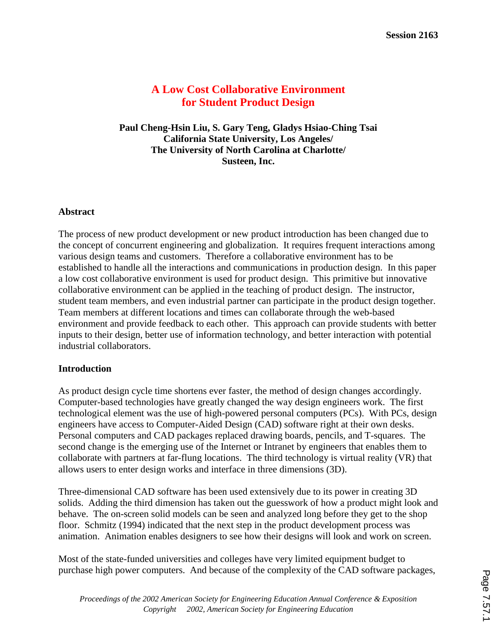# **A Low Cost Collaborative Environment for Student Product Design**

**Paul Cheng-Hsin Liu, S. Gary Teng, Gladys Hsiao-Ching Tsai California State University, Los Angeles/ The University of North Carolina at Charlotte/ Susteen, Inc.**

### **Abstract**

The process of new product development or new product introduction has been changed due to the concept of concurrent engineering and globalization. It requires frequent interactions among various design teams and customers. Therefore a collaborative environment has to be established to handle all the interactions and communications in production design. In this paper a low cost collaborative environment is used for product design. This primitive but innovative collaborative environment can be applied in the teaching of product design. The instructor, student team members, and even industrial partner can participate in the product design together. Team members at different locations and times can collaborate through the web-based environment and provide feedback to each other. This approach can provide students with better inputs to their design, better use of information technology, and better interaction with potential industrial collaborators.

#### **Introduction**

As product design cycle time shortens ever faster, the method of design changes accordingly. Computer-based technologies have greatly changed the way design engineers work. The first technological element was the use of high-powered personal computers (PCs). With PCs, design engineers have access to Computer-Aided Design (CAD) software right at their own desks. Personal computers and CAD packages replaced drawing boards, pencils, and T-squares. The second change is the emerging use of the Internet or Intranet by engineers that enables them to collaborate with partners at far-flung locations. The third technology is virtual reality (VR) that allows users to enter design works and interface in three dimensions (3D).

Three-dimensional CAD software has been used extensively due to its power in creating 3D solids. Adding the third dimension has taken out the guesswork of how a product might look and behave. The on-screen solid models can be seen and analyzed long before they get to the shop floor. Schmitz (1994) indicated that the next step in the product development process was animation. Animation enables designers to see how their designs will look and work on screen.

Most of the state-funded universities and colleges have very limited equipment budget to purchase high power computers. And because of the complexity of the CAD software packages,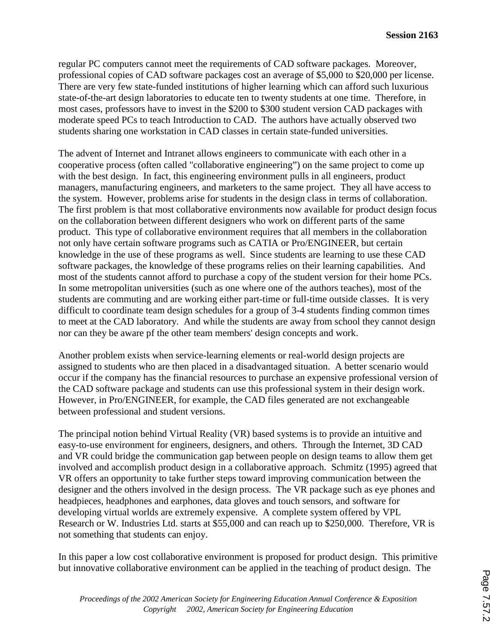regular PC computers cannot meet the requirements of CAD software packages. Moreover, professional copies of CAD software packages cost an average of \$5,000 to \$20,000 per license. There are very few state-funded institutions of higher learning which can afford such luxurious state-of-the-art design laboratories to educate ten to twenty students at one time. Therefore, in most cases, professors have to invest in the \$200 to \$300 student version CAD packages with moderate speed PCs to teach Introduction to CAD. The authors have actually observed two students sharing one workstation in CAD classes in certain state-funded universities.

The advent of Internet and Intranet allows engineers to communicate with each other in a cooperative process (often called "collaborative engineering") on the same project to come up with the best design. In fact, this engineering environment pulls in all engineers, product managers, manufacturing engineers, and marketers to the same project. They all have access to the system. However, problems arise for students in the design class in terms of collaboration. The first problem is that most collaborative environments now available for product design focus on the collaboration between different designers who work on different parts of the same product. This type of collaborative environment requires that all members in the collaboration not only have certain software programs such as CATIA or Pro/ENGINEER, but certain knowledge in the use of these programs as well. Since students are learning to use these CAD software packages, the knowledge of these programs relies on their learning capabilities. And most of the students cannot afford to purchase a copy of the student version for their home PCs. In some metropolitan universities (such as one where one of the authors teaches), most of the students are commuting and are working either part-time or full-time outside classes. It is very difficult to coordinate team design schedules for a group of 3-4 students finding common times to meet at the CAD laboratory. And while the students are away from school they cannot design nor can they be aware pf the other team members' design concepts and work.

Another problem exists when service-learning elements or real-world design projects are assigned to students who are then placed in a disadvantaged situation. A better scenario would occur if the company has the financial resources to purchase an expensive professional version of the CAD software package and students can use this professional system in their design work. However, in Pro/ENGINEER, for example, the CAD files generated are not exchangeable between professional and student versions.

The principal notion behind Virtual Reality (VR) based systems is to provide an intuitive and easy-to-use environment for engineers, designers, and others. Through the Internet, 3D CAD and VR could bridge the communication gap between people on design teams to allow them get involved and accomplish product design in a collaborative approach. Schmitz (1995) agreed that VR offers an opportunity to take further steps toward improving communication between the designer and the others involved in the design process. The VR package such as eye phones and headpieces, headphones and earphones, data gloves and touch sensors, and software for developing virtual worlds are extremely expensive. A complete system offered by VPL Research or W. Industries Ltd. starts at \$55,000 and can reach up to \$250,000. Therefore, VR is not something that students can enjoy.

In this paper a low cost collaborative environment is proposed for product design. This primitive but innovative collaborative environment can be applied in the teaching of product design. The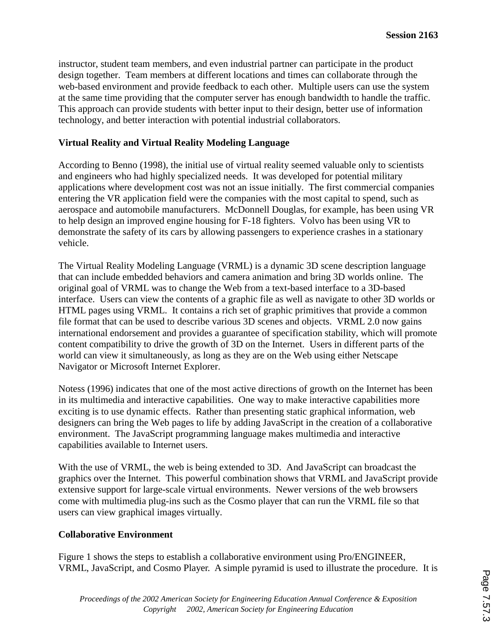instructor, student team members, and even industrial partner can participate in the product design together. Team members at different locations and times can collaborate through the web-based environment and provide feedback to each other. Multiple users can use the system at the same time providing that the computer server has enough bandwidth to handle the traffic. This approach can provide students with better input to their design, better use of information technology, and better interaction with potential industrial collaborators.

## **Virtual Reality and Virtual Reality Modeling Language**

According to Benno (1998), the initial use of virtual reality seemed valuable only to scientists and engineers who had highly specialized needs. It was developed for potential military applications where development cost was not an issue initially. The first commercial companies entering the VR application field were the companies with the most capital to spend, such as aerospace and automobile manufacturers. McDonnell Douglas, for example, has been using VR to help design an improved engine housing for F-18 fighters. Volvo has been using VR to demonstrate the safety of its cars by allowing passengers to experience crashes in a stationary vehicle.

The Virtual Reality Modeling Language (VRML) is a dynamic 3D scene description language that can include embedded behaviors and camera animation and bring 3D worlds online. The original goal of VRML was to change the Web from a text-based interface to a 3D-based interface. Users can view the contents of a graphic file as well as navigate to other 3D worlds or HTML pages using VRML. It contains a rich set of graphic primitives that provide a common file format that can be used to describe various 3D scenes and objects. VRML 2.0 now gains international endorsement and provides a guarantee of specification stability, which will promote content compatibility to drive the growth of 3D on the Internet. Users in different parts of the world can view it simultaneously, as long as they are on the Web using either Netscape Navigator or Microsoft Internet Explorer.

Notess (1996) indicates that one of the most active directions of growth on the Internet has been in its multimedia and interactive capabilities. One way to make interactive capabilities more exciting is to use dynamic effects. Rather than presenting static graphical information, web designers can bring the Web pages to life by adding JavaScript in the creation of a collaborative environment. The JavaScript programming language makes multimedia and interactive capabilities available to Internet users.

With the use of VRML, the web is being extended to 3D. And JavaScript can broadcast the graphics over the Internet. This powerful combination shows that VRML and JavaScript provide extensive support for large-scale virtual environments. Newer versions of the web browsers come with multimedia plug-ins such as the Cosmo player that can run the VRML file so that users can view graphical images virtually.

#### **Collaborative Environment**

Figure 1 shows the steps to establish a collaborative environment using Pro/ENGINEER, VRML, JavaScript, and Cosmo Player. A simple pyramid is used to illustrate the procedure. It is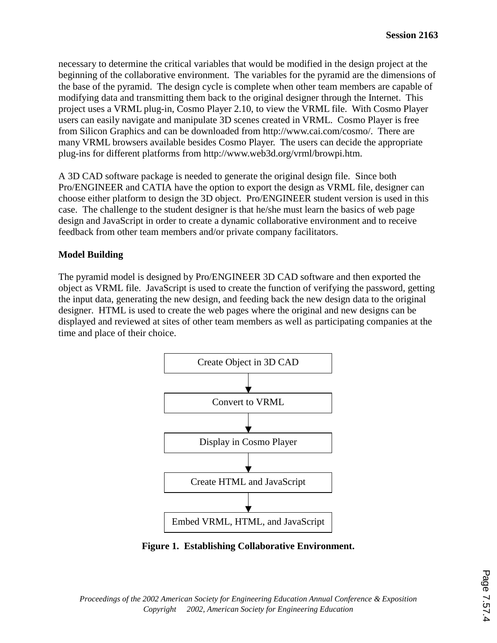necessary to determine the critical variables that would be modified in the design project at the beginning of the collaborative environment. The variables for the pyramid are the dimensions of the base of the pyramid. The design cycle is complete when other team members are capable of modifying data and transmitting them back to the original designer through the Internet. This project uses a VRML plug-in, Cosmo Player 2.10, to view the VRML file. With Cosmo Player users can easily navigate and manipulate 3D scenes created in VRML. Cosmo Player is free from Silicon Graphics and can be downloaded from http://www.cai.com/cosmo/. There are many VRML browsers available besides Cosmo Player. The users can decide the appropriate plug-ins for different platforms from http://www.web3d.org/vrml/browpi.htm.

A 3D CAD software package is needed to generate the original design file. Since both Pro/ENGINEER and CATIA have the option to export the design as VRML file, designer can choose either platform to design the 3D object. Pro/ENGINEER student version is used in this case. The challenge to the student designer is that he/she must learn the basics of web page design and JavaScript in order to create a dynamic collaborative environment and to receive feedback from other team members and/or private company facilitators.

# **Model Building**

The pyramid model is designed by Pro/ENGINEER 3D CAD software and then exported the object as VRML file. JavaScript is used to create the function of verifying the password, getting the input data, generating the new design, and feeding back the new design data to the original designer. HTML is used to create the web pages where the original and new designs can be displayed and reviewed at sites of other team members as well as participating companies at the time and place of their choice.



**Figure 1. Establishing Collaborative Environment.**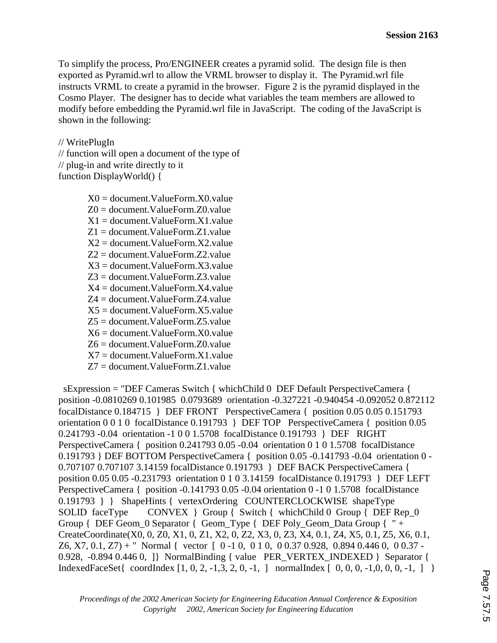To simplify the process, Pro/ENGINEER creates a pyramid solid. The design file is then exported as Pyramid.wrl to allow the VRML browser to display it. The Pyramid.wrl file instructs VRML to create a pyramid in the browser. Figure 2 is the pyramid displayed in the Cosmo Player. The designer has to decide what variables the team members are allowed to modify before embedding the Pyramid.wrl file in JavaScript. The coding of the JavaScript is shown in the following:

#### // WritePlugIn

// function will open a document of the type of // plug-in and write directly to it function DisplayWorld() {

> X0 = document.ValueForm.X0.value Z0 = document.ValueForm.Z0.value  $X1 =$  document. ValueForm.  $X1$  value Z1 = document.ValueForm.Z1.value  $X2 =$  document. ValueForm.  $X2$  value Z2 = document.ValueForm.Z2.value  $X3 =$  document. ValueForm.  $X3$  value Z3 = document.ValueForm.Z3.value  $X4 =$  document. ValueForm.  $X4$  value Z4 = document.ValueForm.Z4.value  $X5 =$  document. ValueForm.  $X5$ . value Z5 = document.ValueForm.Z5.value  $X6 =$  document. ValueForm.  $X0$  value Z6 = document.ValueForm.Z0.value  $X7 =$  document. ValueForm.  $X1$  value Z7 = document.ValueForm.Z1.value

 sExpression = "DEF Cameras Switch { whichChild 0 DEF Default PerspectiveCamera { position -0.0810269 0.101985 0.0793689 orientation -0.327221 -0.940454 -0.092052 0.872112 focalDistance 0.184715 } DEF FRONT PerspectiveCamera { position 0.05 0.05 0.151793 orientation 0 0 1 0 focalDistance 0.191793 } DEF TOP PerspectiveCamera { position 0.05 0.241793 -0.04 orientation -1 0 0 1.5708 focalDistance 0.191793 } DEF RIGHT PerspectiveCamera { position 0.241793 0.05 -0.04 orientation 0 1 0 1.5708 focalDistance 0.191793 } DEF BOTTOM PerspectiveCamera { position 0.05 -0.141793 -0.04 orientation 0 - 0.707107 0.707107 3.14159 focalDistance 0.191793 } DEF BACK PerspectiveCamera { position 0.05 0.05 -0.231793 orientation 0 1 0 3.14159 focalDistance 0.191793 } DEF LEFT PerspectiveCamera { position -0.141793 0.05 -0.04 orientation 0 -1 0 1.5708 focalDistance 0.191793 } } ShapeHints { vertexOrdering COUNTERCLOCKWISE shapeType SOLID faceType CONVEX } Group { Switch { whichChild 0 Group { DEF Rep\_0 Group { DEF Geom\_0 Separator { Geom\_Type { DEF Poly\_Geom\_Data Group { " + CreateCoordinate(X0, 0, Z0, X1, 0, Z1, X2, 0, Z2, X3, 0, Z3, X4, 0.1, Z4, X5, 0.1, Z5, X6, 0.1, Z6, X7, 0.1, Z7) + " Normal { vector  $[0 -1 0, 0 1 0, 0 0.37 0.928, 0.894 0.446 0, 0 0.37 -$ 0.928, -0.894 0.446 0, 1} NormalBinding { value PER\_VERTEX\_INDEXED } Separator { IndexedFaceSet{ coordIndex  $[1, 0, 2, -1, 3, 2, 0, -1, ]$  normalIndex  $[0, 0, 0, -1, 0, 0, 0, -1, ]$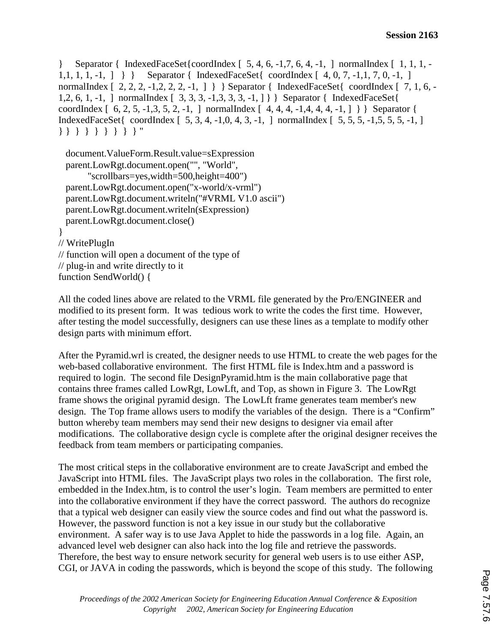} Separator { IndexedFaceSet{coordIndex [ 5, 4, 6, -1,7, 6, 4, -1, ] normalIndex [ 1, 1, 1, - 1,1, 1, 1, -1, ] } } Separator { IndexedFaceSet{ coordIndex [ 4, 0, 7, -1,1, 7, 0, -1, ] normalIndex  $[ 2, 2, 2, -1, 2, 2, 2, -1, ]$  } Separator { IndexedFaceSet { coordIndex  $[ 7, 1, 6, -1, 1, 1, 2, 2, 2, -1, 1, ]$ 1,2, 6, 1, -1, ] normalIndex [ 3, 3, 3, -1,3, 3, 3, -1, ] } } Separator { IndexedFaceSet{ coordIndex  $[ 6, 2, 5, -1, 3, 5, 2, -1, ]$  normalIndex  $[ 4, 4, 4, -1, 4, 4, 4, -1, ] ]$  Separator { IndexedFaceSet{ coordIndex [ 5, 3, 4, -1,0, 4, 3, -1, ] normalIndex [ 5, 5, 5, -1,5, 5, 5, -1, ] } } } } } } } } } "

```
 document.ValueForm.Result.value=sExpression 
  parent.LowRgt.document.open("", "World", 
        "scrollbars=yes,width=500,height=400") 
  parent.LowRgt.document.open("x-world/x-vrml") 
  parent.LowRgt.document.writeln("#VRML V1.0 ascii") 
  parent.LowRgt.document.writeln(sExpression) 
  parent.LowRgt.document.close() 
} 
// WritePlugIn 
// function will open a document of the type of 
// plug-in and write directly to it
```
function SendWorld() {

All the coded lines above are related to the VRML file generated by the Pro/ENGINEER and modified to its present form. It was tedious work to write the codes the first time. However, after testing the model successfully, designers can use these lines as a template to modify other design parts with minimum effort.

After the Pyramid.wrl is created, the designer needs to use HTML to create the web pages for the web-based collaborative environment. The first HTML file is Index.htm and a password is required to login. The second file DesignPyramid.htm is the main collaborative page that contains three frames called LowRgt, LowLft, and Top, as shown in Figure 3. The LowRgt frame shows the original pyramid design. The LowLft frame generates team member's new design. The Top frame allows users to modify the variables of the design. There is a "Confirm" button whereby team members may send their new designs to designer via email after modifications. The collaborative design cycle is complete after the original designer receives the feedback from team members or participating companies.

The most critical steps in the collaborative environment are to create JavaScript and embed the JavaScript into HTML files. The JavaScript plays two roles in the collaboration. The first role, embedded in the Index.htm, is to control the user's login. Team members are permitted to enter into the collaborative environment if they have the correct password. The authors do recognize that a typical web designer can easily view the source codes and find out what the password is. However, the password function is not a key issue in our study but the collaborative environment. A safer way is to use Java Applet to hide the passwords in a log file. Again, an advanced level web designer can also hack into the log file and retrieve the passwords. Therefore, the best way to ensure network security for general web users is to use either ASP, CGI, or JAVA in coding the passwords, which is beyond the scope of this study. The following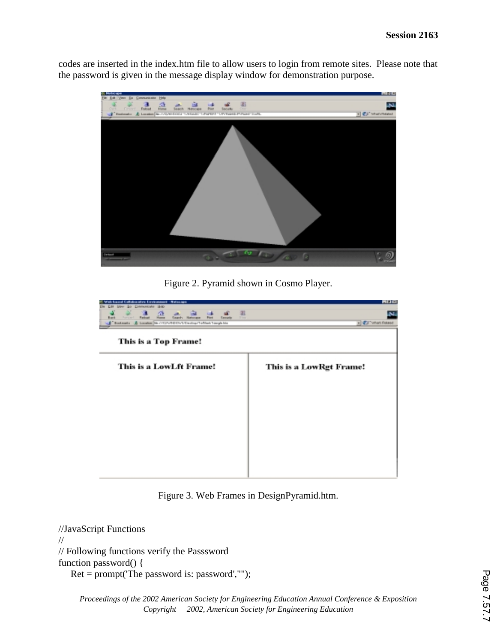codes are inserted in the index.htm file to allow users to login from remote sites. Please note that the password is given in the message display window for demonstration purpose.



Figure 2. Pyramid shown in Cosmo Player.

| disboxative Exvironment - Natasape<br><b>Солиний мм</b><br>50<br>1840<br>$\overline{\mathbf{3}}$<br>죤<br>阻<br>m<br><b>Fishuat</b><br>Forsy of<br><b>Search Helenage</b><br><b>Back</b><br><b>Print</b><br><b>Samulto</b><br>1 mm<br>Bookmarks AL Location Tite / AD/A/RE/Civ/L/Deutrop/Tofflant Tomple Mer |                         |
|------------------------------------------------------------------------------------------------------------------------------------------------------------------------------------------------------------------------------------------------------------------------------------------------------------|-------------------------|
| This is a Top Frame!                                                                                                                                                                                                                                                                                       |                         |
| This is a LowLft Frame!                                                                                                                                                                                                                                                                                    | This is a LowRgt Frame! |
|                                                                                                                                                                                                                                                                                                            |                         |
|                                                                                                                                                                                                                                                                                                            |                         |
|                                                                                                                                                                                                                                                                                                            |                         |
|                                                                                                                                                                                                                                                                                                            |                         |
|                                                                                                                                                                                                                                                                                                            |                         |

Figure 3. Web Frames in DesignPyramid.htm.

//JavaScript Functions // // Following functions verify the Passsword function password() { Ret = prompt('The password is: password',"");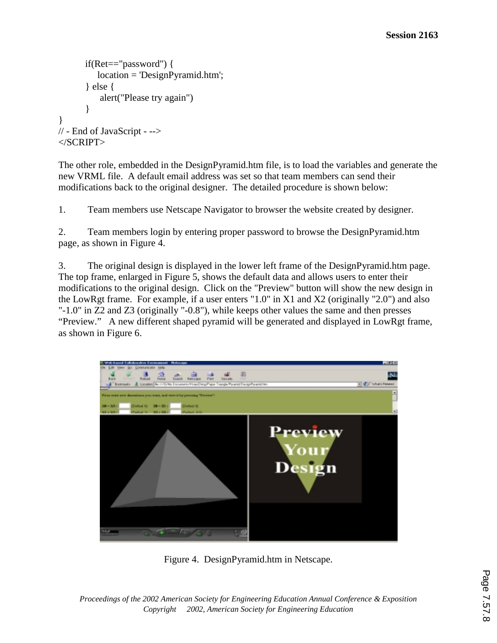```
 if(Ret=="password") { 
            location = 'DesignPyramid.htm'; 
        } else { 
            alert("Please try again") 
        } 
} 
// - End of JavaScript - --> 
</SCRIPT>
```
The other role, embedded in the DesignPyramid.htm file, is to load the variables and generate the new VRML file. A default email address was set so that team members can send their modifications back to the original designer. The detailed procedure is shown below:

1. Team members use Netscape Navigator to browser the website created by designer.

2. Team members login by entering proper password to browse the DesignPyramid.htm page, as shown in Figure 4.

3. The original design is displayed in the lower left frame of the DesignPyramid.htm page. The top frame, enlarged in Figure 5, shows the default data and allows users to enter their modifications to the original design. Click on the "Preview" button will show the new design in the LowRgt frame. For example, if a user enters "1.0" in X1 and X2 (originally "2.0") and also "-1.0" in Z2 and Z3 (originally "-0.8"), while keeps other values the same and then presses "Preview." A new different shaped pyramid will be generated and displayed in LowRgt frame, as shown in Figure 6.



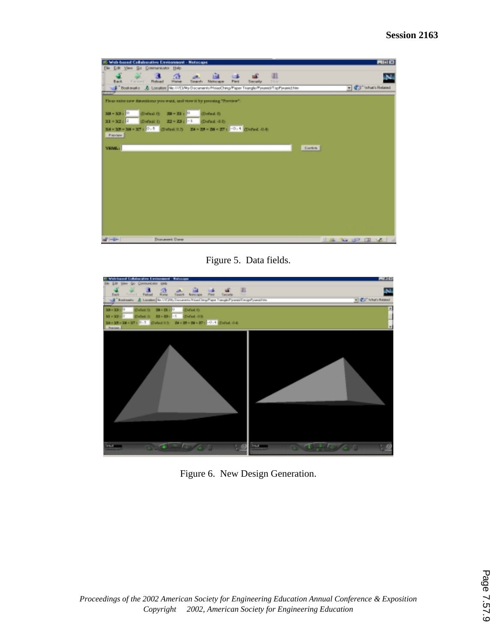|                                     | 15. Web-based Collaborative Environment - Netscape                                                                | <b>FIELD</b>        |
|-------------------------------------|-------------------------------------------------------------------------------------------------------------------|---------------------|
| Elle Edit View Go Communicator Help |                                                                                                                   |                     |
| Farmers'<br>Back.                   | 涯<br>a.<br>Ed.<br><b>CENT</b><br>off.<br><b>Reload</b><br>Hanse<br>Search.<br>Metucape<br>Péré<br>Security<br>Nov |                     |
|                                     | Life Boskmarks AL Location No.///CI/My Documents/MissoDring/Paper Triangle/Pyramid/TapPyramid/Vim                 | - CJ What's Related |
|                                     | Floar exist new dimensions you want, and view it by pressing "Preview":                                           |                     |
| $300 - 328 = 0$<br>$X1 = X2$        | (Defend 0) 28 - 23 + C<br>(Defend It)<br>(Defeat 1) 22 = 23 : -1 (Defeat 4.0)                                     |                     |
| Parrier                             | $X4 = X5 = X6 = X7$ : $0.5$ Direction $X4 = X5 = X6 = X7$ : $0.4$ Direct 0.0                                      |                     |
| <b>VRML:</b>                        | Guetim.                                                                                                           |                     |
|                                     |                                                                                                                   |                     |
|                                     |                                                                                                                   |                     |
|                                     |                                                                                                                   |                     |
|                                     |                                                                                                                   |                     |
|                                     |                                                                                                                   |                     |
| $-4 - 1 - 1$                        | Document: Dane                                                                                                    | $-36.96.02.02.02$   |

Figure 5. Data fields.



Figure 6. New Design Generation.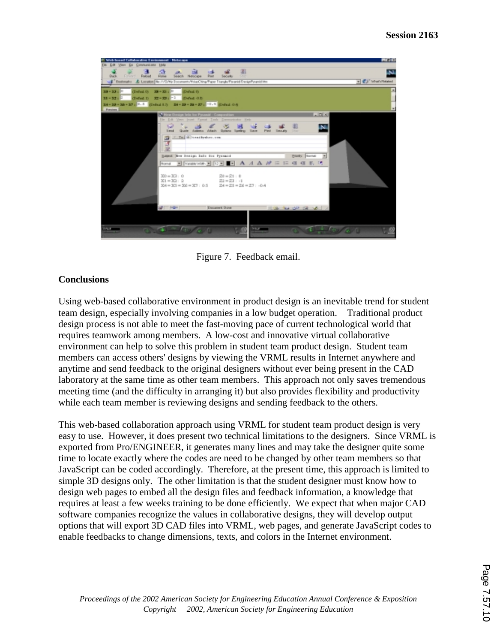

Figure 7. Feedback email.

### **Conclusions**

Using web-based collaborative environment in product design is an inevitable trend for student team design, especially involving companies in a low budget operation. Traditional product design process is not able to meet the fast-moving pace of current technological world that requires teamwork among members. A low-cost and innovative virtual collaborative environment can help to solve this problem in student team product design. Student team members can access others' designs by viewing the VRML results in Internet anywhere and anytime and send feedback to the original designers without ever being present in the CAD laboratory at the same time as other team members. This approach not only saves tremendous meeting time (and the difficulty in arranging it) but also provides flexibility and productivity while each team member is reviewing designs and sending feedback to the others.

This web-based collaboration approach using VRML for student team product design is very easy to use. However, it does present two technical limitations to the designers. Since VRML is exported from Pro/ENGINEER, it generates many lines and may take the designer quite some time to locate exactly where the codes are need to be changed by other team members so that JavaScript can be coded accordingly. Therefore, at the present time, this approach is limited to simple 3D designs only. The other limitation is that the student designer must know how to design web pages to embed all the design files and feedback information, a knowledge that requires at least a few weeks training to be done efficiently. We expect that when major CAD software companies recognize the values in collaborative designs, they will develop output options that will export 3D CAD files into VRML, web pages, and generate JavaScript codes to enable feedbacks to change dimensions, texts, and colors in the Internet environment.